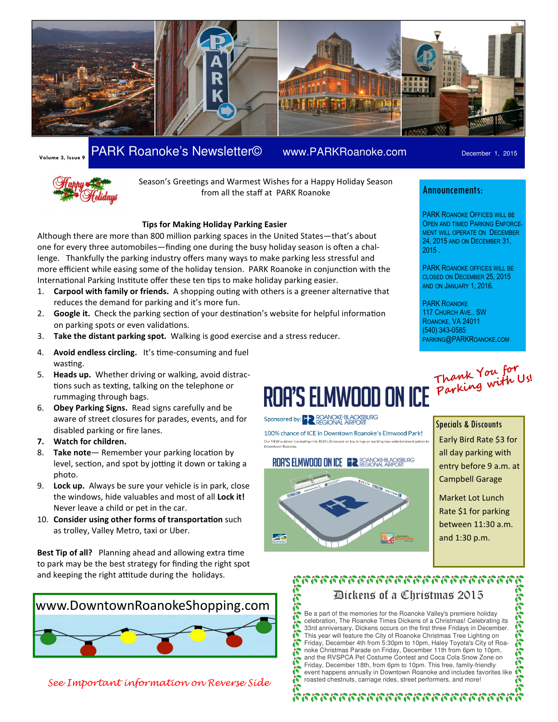

## Volume 3, Issue 9 PARK Roanoke's Newsletter© www.PARKRoanoke.com December 1, 2015



Season's Greetings and Warmest Wishes for a Happy Holiday Season from all the staff at PARK Roanoke

#### Tips for Making Holiday Parking Easier

Although there are more than 800 million parking spaces in the United States—that's about one for every three automobiles—finding one during the busy holiday season is often a challenge. Thankfully the parking industry offers many ways to make parking less stressful and more efficient while easing some of the holiday tension. PARK Roanoke in conjunction with the International Parking Institute offer these ten tips to make holiday parking easier.

- 1. Carpool with family or friends. A shopping outing with others is a greener alternative that reduces the demand for parking and it's more fun.
- 2. Google it. Check the parking section of your destination's website for helpful information on parking spots or even validations.
- 3. Take the distant parking spot. Walking is good exercise and a stress reducer.
- 4. Avoid endless circling. It's time-consuming and fuel wasting.
- 5. Heads up. Whether driving or walking, avoid distractions such as texting, talking on the telephone or rummaging through bags.
- 6. Obey Parking Signs. Read signs carefully and be aware of street closures for parades, events, and for disabled parking or fire lanes.
- 7. Watch for children.
- 8. Take note Remember your parking location by level, section, and spot by jotting it down or taking a photo.
- 9. Lock up. Always be sure your vehicle is in park, close the windows, hide valuables and most of all Lock it! Never leave a child or pet in the car.
- 10. Consider using other forms of transportation such as trolley, Valley Metro, taxi or Uber.

Best Tip of all? Planning ahead and allowing extra time to park may be the best strategy for finding the right spot and keeping the right attitude during the holidays.



See Important information on Reverse Side

#### Announcements:

PARK ROANOKE OFFICES WILL BE OPEN AND TIMED PARKING ENFORCE-MENT WILL OPERATE ON DECEMBER 24, 2015 AND ON DECEMBER 31, 2015 .

PARK ROANOKE OFFICES WILL BE CLOSED ON DECEMBER 25, 2015 AND ON JANUARY 1, 2016.

PARK ROANOKE 117 CHURCH AVE., SW ROANOKE, VA 24011 (540) 343-0585 PARKING@PARKROANOKE.COM

# Thank You for Parking with Us!

### Sponsored by: HAR ROANOKE-BLACKSBURG

100% chance of ICE in Downtown Roanoke's Elmwood Park! Our NEW outdoor ice skating rink, ROA's Elmwood on Ice, brings an exciting new entertainment option to

#### **ROA'S ELMWOOD ON ICE ER ROANOKE-BLACKSBURG**



#### Specials & Discounts

Early Bird Rate \$3 for all day parking with entry before 9 a.m. at Campbell Garage

Market Lot Lunch Rate \$1 for parking between 11:30 a.m. and 1:30 p.m.

#### คุณการการการการการการการการ Dickens of a Christmas 2015 Ñ

**Page** Be a part of the memories for the Roanoke Valley's premiere holiday celebration, The Roanoke Times Dickens of a Christmas! Celebrating its こいこここ 33rd anniversary, Dickens occurs on the first three Fridays in December. This year will feature the City of Roanoke Christmas Tree Lighting on Friday, December 4th from 5:30pm to 10pm, Haley Toyota's City of Roanoke Christmas Parade on Friday, December 11th from 6pm to 10pm, and the RVSPCA Pet Costume Contest and Coca Cola Snow Zone on PIPE Friday, December 18th, from 6pm to 10pm. This free, family-friendly event happens annually in Downtown Roanoke and includes favorites like Ã roasted chestnuts, carriage rides, street performers, and more!